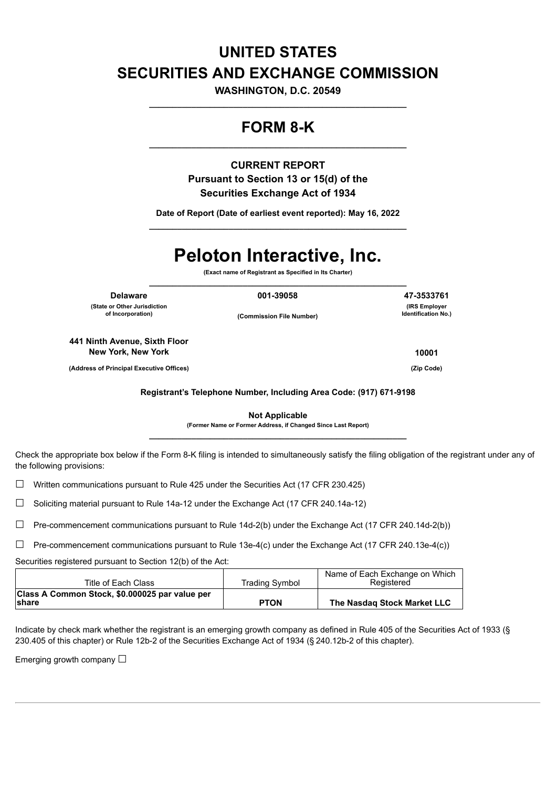## **UNITED STATES SECURITIES AND EXCHANGE COMMISSION**

**WASHINGTON, D.C. 20549 \_\_\_\_\_\_\_\_\_\_\_\_\_\_\_\_\_\_\_\_\_\_\_\_\_\_\_\_\_\_\_\_\_\_\_\_\_\_\_\_\_\_\_\_\_\_\_\_\_\_\_\_\_\_\_**

### **FORM 8-K \_\_\_\_\_\_\_\_\_\_\_\_\_\_\_\_\_\_\_\_\_\_\_\_\_\_\_\_\_\_\_\_\_\_\_\_\_\_\_\_\_\_\_\_\_\_\_\_\_\_\_\_\_\_\_**

**CURRENT REPORT Pursuant to Section 13 or 15(d) of the Securities Exchange Act of 1934**

**Date of Report (Date of earliest event reported): May 16, 2022 \_\_\_\_\_\_\_\_\_\_\_\_\_\_\_\_\_\_\_\_\_\_\_\_\_\_\_\_\_\_\_\_\_\_\_\_\_\_\_\_\_\_\_\_\_\_\_\_\_\_\_\_\_\_\_**

# **Peloton Interactive, Inc.**

**(Exact name of Registrant as Specified in Its Charter) \_\_\_\_\_\_\_\_\_\_\_\_\_\_\_\_\_\_\_\_\_\_\_\_\_\_\_\_\_\_\_\_\_\_\_\_\_\_\_\_\_\_\_\_\_\_\_\_\_\_\_\_\_\_\_**

**(State or Other Jurisdiction of Incorporation)**

**(Commission File Number)**

**441 Ninth Avenue, Sixth Floor New York, New York 10001**

**(Address of Principal Executive Offices) (Zip Code)**

**Registrant's Telephone Number, Including Area Code: (917) 671-9198**

**Not Applicable (Former Name or Former Address, if Changed Since Last Report) \_\_\_\_\_\_\_\_\_\_\_\_\_\_\_\_\_\_\_\_\_\_\_\_\_\_\_\_\_\_\_\_\_\_\_\_\_\_\_\_\_\_\_\_\_\_\_\_\_\_\_\_\_\_\_**

Check the appropriate box below if the Form 8-K filing is intended to simultaneously satisfy the filing obligation of the registrant under any of the following provisions:

 $\Box$  Written communications pursuant to Rule 425 under the Securities Act (17 CFR 230.425)

 $\Box$  Soliciting material pursuant to Rule 14a-12 under the Exchange Act (17 CFR 240.14a-12)

 $\Box$  Pre-commencement communications pursuant to Rule 14d-2(b) under the Exchange Act (17 CFR 240.14d-2(b))

☐ Pre-commencement communications pursuant to Rule 13e-4(c) under the Exchange Act (17 CFR 240.13e-4(c))

Securities registered pursuant to Section 12(b) of the Act:

| Title of Each Class                                             | <b>Trading Symbol</b> | Name of Each Exchange on Which<br>Registered |
|-----------------------------------------------------------------|-----------------------|----------------------------------------------|
| Class A Common Stock, \$0.000025 par value per<br><b>Ishare</b> | <b>PTON</b>           | The Nasdag Stock Market LLC                  |

Indicate by check mark whether the registrant is an emerging growth company as defined in Rule 405 of the Securities Act of 1933 (§ 230.405 of this chapter) or Rule 12b-2 of the Securities Exchange Act of 1934 (§ 240.12b-2 of this chapter).

Emerging growth company  $\Box$ 

**Delaware 001-39058 47-3533761 (IRS Employer**

**Identification No.)**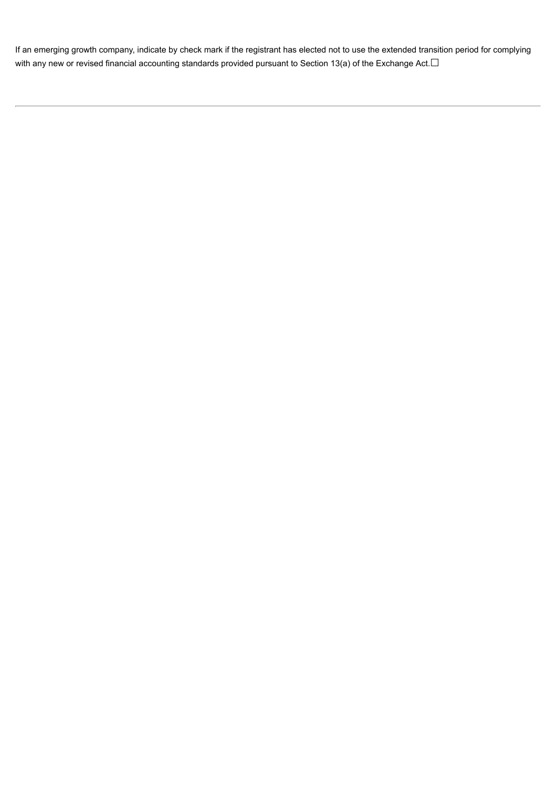If an emerging growth company, indicate by check mark if the registrant has elected not to use the extended transition period for complying with any new or revised financial accounting standards provided pursuant to Section 13(a) of the Exchange Act.□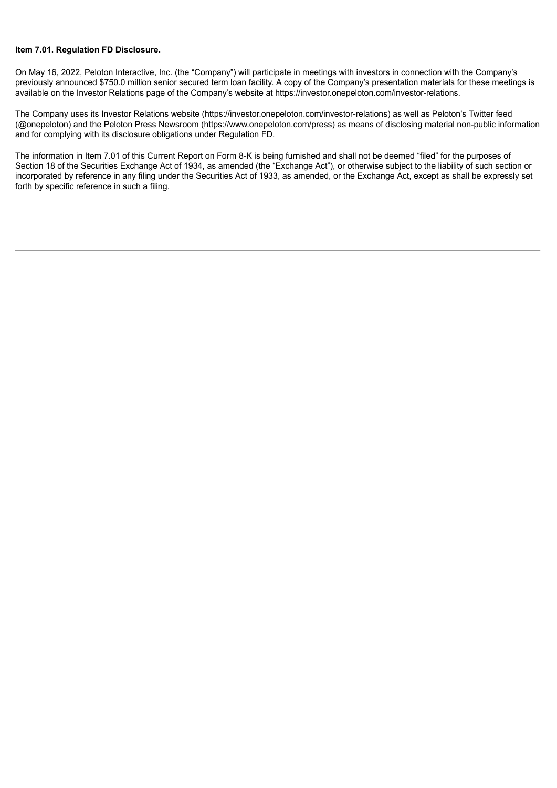#### **Item 7.01. Regulation FD Disclosure.**

On May 16, 2022, Peloton Interactive, Inc. (the "Company") will participate in meetings with investors in connection with the Company's previously announced \$750.0 million senior secured term loan facility. A copy of the Company's presentation materials for these meetings is available on the Investor Relations page of the Company's website at https://investor.onepeloton.com/investor-relations.

The Company uses its Investor Relations website (https://investor.onepeloton.com/investor-relations) as well as Peloton's Twitter feed (@onepeloton) and the Peloton Press Newsroom (https://www.onepeloton.com/press) as means of disclosing material non-public information and for complying with its disclosure obligations under Regulation FD.

The information in Item 7.01 of this Current Report on Form 8-K is being furnished and shall not be deemed "filed" for the purposes of Section 18 of the Securities Exchange Act of 1934, as amended (the "Exchange Act"), or otherwise subject to the liability of such section or incorporated by reference in any filing under the Securities Act of 1933, as amended, or the Exchange Act, except as shall be expressly set forth by specific reference in such a filing.